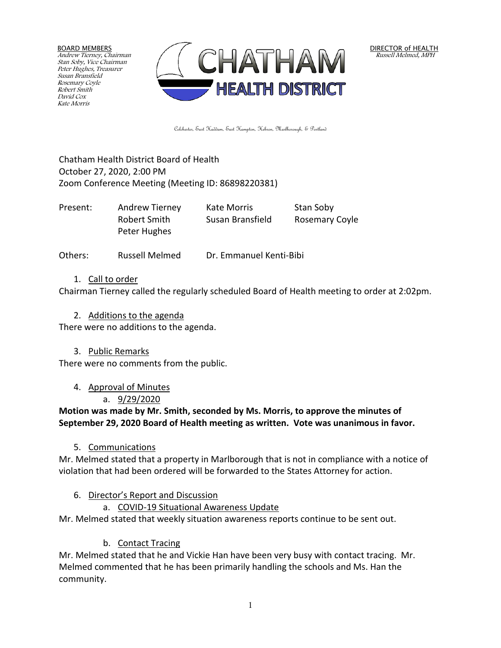BOARD MEMBERS Andrew Tierney, Chairman Stan Soby, Vice Chairman Peter Hughes, Treasurer Susan Bransfield Rosemary Coyle Robert Smith David Cox Kate Morris



DIRECTOR of HEALTH Russell Melmed, MPH

Colchester, East Haddam, East Hampton, Hebron, Marlborough, & Portland

Chatham Health District Board of Health October 27, 2020, 2:00 PM Zoom Conference Meeting (Meeting ID: 86898220381)

| Present: | Andrew Tierney | Kate Morris      | Stan Soby      |
|----------|----------------|------------------|----------------|
|          | Robert Smith   | Susan Bransfield | Rosemary Coyle |
|          | Peter Hughes   |                  |                |

Others: Russell Melmed Dr. Emmanuel Kenti-Bibi

#### 1. Call to order

Chairman Tierney called the regularly scheduled Board of Health meeting to order at 2:02pm.

2. Additions to the agenda

There were no additions to the agenda.

3. Public Remarks

There were no comments from the public.

4. Approval of Minutes

# a. 9/29/2020

**Motion was made by Mr. Smith, seconded by Ms. Morris, to approve the minutes of September 29, 2020 Board of Health meeting as written. Vote was unanimous in favor.**

### 5. Communications

Mr. Melmed stated that a property in Marlborough that is not in compliance with a notice of violation that had been ordered will be forwarded to the States Attorney for action.

# 6. Director's Report and Discussion

a. COVID-19 Situational Awareness Update

Mr. Melmed stated that weekly situation awareness reports continue to be sent out.

# b. Contact Tracing

Mr. Melmed stated that he and Vickie Han have been very busy with contact tracing. Mr. Melmed commented that he has been primarily handling the schools and Ms. Han the community.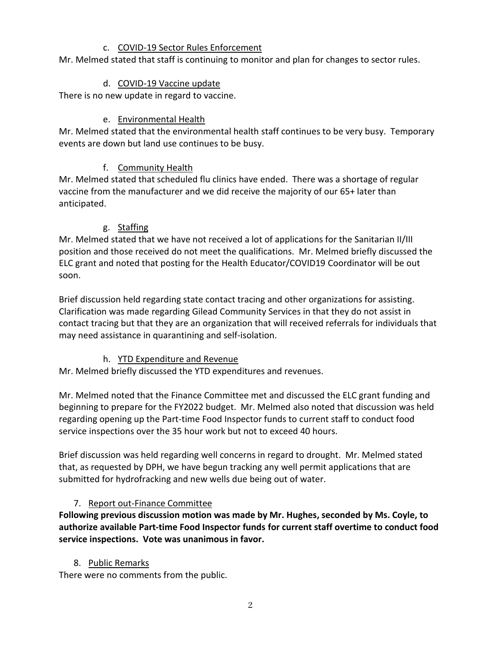### c. COVID-19 Sector Rules Enforcement

Mr. Melmed stated that staff is continuing to monitor and plan for changes to sector rules.

#### d. COVID-19 Vaccine update

There is no new update in regard to vaccine.

### e. Environmental Health

Mr. Melmed stated that the environmental health staff continues to be very busy. Temporary events are down but land use continues to be busy.

### f. Community Health

Mr. Melmed stated that scheduled flu clinics have ended. There was a shortage of regular vaccine from the manufacturer and we did receive the majority of our 65+ later than anticipated.

### g. Staffing

Mr. Melmed stated that we have not received a lot of applications for the Sanitarian II/III position and those received do not meet the qualifications. Mr. Melmed briefly discussed the ELC grant and noted that posting for the Health Educator/COVID19 Coordinator will be out soon.

Brief discussion held regarding state contact tracing and other organizations for assisting. Clarification was made regarding Gilead Community Services in that they do not assist in contact tracing but that they are an organization that will received referrals for individuals that may need assistance in quarantining and self-isolation.

# h. YTD Expenditure and Revenue

Mr. Melmed briefly discussed the YTD expenditures and revenues.

Mr. Melmed noted that the Finance Committee met and discussed the ELC grant funding and beginning to prepare for the FY2022 budget. Mr. Melmed also noted that discussion was held regarding opening up the Part-time Food Inspector funds to current staff to conduct food service inspections over the 35 hour work but not to exceed 40 hours.

Brief discussion was held regarding well concerns in regard to drought. Mr. Melmed stated that, as requested by DPH, we have begun tracking any well permit applications that are submitted for hydrofracking and new wells due being out of water.

# 7. Report out-Finance Committee

**Following previous discussion motion was made by Mr. Hughes, seconded by Ms. Coyle, to authorize available Part-time Food Inspector funds for current staff overtime to conduct food service inspections. Vote was unanimous in favor.**

### 8. Public Remarks

There were no comments from the public.